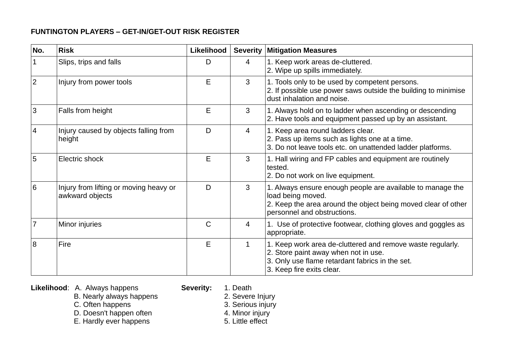## **FUNTINGTON PLAYERS – GET-IN/GET-OUT RISK REGISTER**

| No.            | <b>Risk</b>                                               | Likelihood |                | <b>Severity Mitigation Measures</b>                                                                                                                                                |
|----------------|-----------------------------------------------------------|------------|----------------|------------------------------------------------------------------------------------------------------------------------------------------------------------------------------------|
|                | Slips, trips and falls                                    | D          | 4              | 1. Keep work areas de-cluttered.<br>2. Wipe up spills immediately.                                                                                                                 |
| $\overline{2}$ | Injury from power tools                                   | E          | 3              | 1. Tools only to be used by competent persons.<br>2. If possible use power saws outside the building to minimise<br>dust inhalation and noise.                                     |
| 3              | Falls from height                                         | Е          | 3              | 1. Always hold on to ladder when ascending or descending<br>2. Have tools and equipment passed up by an assistant.                                                                 |
| 4              | Injury caused by objects falling from<br>height           | D          | $\overline{4}$ | 1. Keep area round ladders clear.<br>2. Pass up items such as lights one at a time.<br>3. Do not leave tools etc. on unattended ladder platforms.                                  |
| 5              | Electric shock                                            | E          | 3              | 1. Hall wiring and FP cables and equipment are routinely<br>tested.<br>2. Do not work on live equipment.                                                                           |
| 6              | Injury from lifting or moving heavy or<br>awkward objects | D          | 3              | 1. Always ensure enough people are available to manage the<br>load being moved.<br>2. Keep the area around the object being moved clear of other<br>personnel and obstructions.    |
| $\overline{7}$ | Minor injuries                                            | C          | 4              | 1. Use of protective footwear, clothing gloves and goggles as<br>appropriate.                                                                                                      |
| 8              | Fire                                                      | E          | 1              | 1. Keep work area de-cluttered and remove waste regularly.<br>2. Store paint away when not in use.<br>3. Only use flame retardant fabrics in the set.<br>3. Keep fire exits clear. |

**Likelihood**: A. Always happens **Severity:** 1. Death

- 
- B. Nearly always happens extended by the 2. Severe Injury
- C. Often happens 3. Serious injury
- D. Doesn't happen often 4. Minor injury<br>
E. Hardly ever happens<br>
5. Little effect
- E. Hardly ever happens
- - -
		-
		-
		-